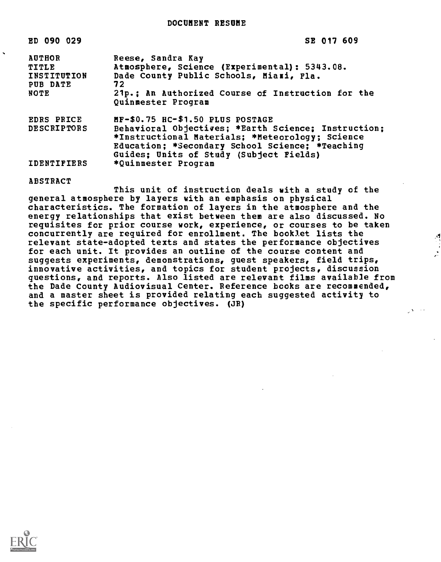| SE |  |  |  | 017 609 |  |  |
|----|--|--|--|---------|--|--|
|----|--|--|--|---------|--|--|

| <b>AUTHOR</b><br>TITLE<br>INSTITUTION<br>PUB DATE<br><b>NOTE</b> | Reese, Sandra Kay<br>Atmosphere, Science (Experimental): 5343.08.<br>Dade County Public Schools, Miami, Fla.<br>72<br>21p.; An Authorized Course of Instruction for the<br>Quinmester Program                                                                   |
|------------------------------------------------------------------|-----------------------------------------------------------------------------------------------------------------------------------------------------------------------------------------------------------------------------------------------------------------|
| <b>EDRS PRICE</b><br><b>DESCRIPTORS</b><br><b>IDENTIFIERS</b>    | MF-\$0.75 HC-\$1.50 PLUS POSTAGE<br>Behavioral Objectives; *Earth Science; Instruction;<br>*Instructional Materials; *Meteorology; Science<br>Education; *Secondary School Science; *Teaching<br>Guides; Units of Study (Subject Fields)<br>*Quinmester Program |

ABSTRACT

ED 090 029

This unit of instruction deals with a study of the general atmosphere by layers with an emphasis on physical characteristics. The formation of layers in the atmosphere and the energy relationships that exist between them are also discussed. No requisites for prior course work, experience, or courses to be taken concurrently are required for enrollment. The booklet lists the relevant state-adopted texts and states the performance objectives for each unit. It provides an outline of the course content and suggests experiments, demonstrations, guest speakers, field trips, innovative activities, and topics for student projects, discussion questions, and reports. Also listed are relevant films available from the Dade County Audiovisual Center. Reference books are recommended, and a master sheet is provided relating each suggested activity to the specific performance objectives. (JR)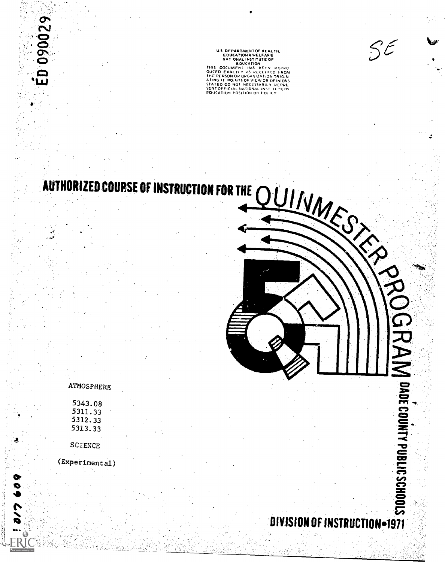US DEPARTMENTOR HEALTH,<br>
EDUCATION A WELFARE<br>
NATIONAL INSTITUTE OF<br>
HUIGA DOCUMENT HAS BEEN REPRO<br>
DUCED EXACTLY AS RECEIVED HOM<br>
DUCED EXACTLY AS RECEIVED IN ON<br>
THE PLESON OR ORDANIZATION OPINIONS<br>
STATED QO NOT NECESSA SENT OFFICIAL NATIONAL INST 1 UTE OF<br>EDUCATION POSITION OR POLICY

# AUTHORIZED COURSE OF INSTRUCTION FOR THE

ATMOSPHERE

ED 090029

| 5343.08<br>5311.33<br>5312.33   |  |  |
|---------------------------------|--|--|
| 5313.33<br>SCIENCE <sup>®</sup> |  |  |

(Experimental)

**STOON**<br>City DIVISION OF INSTRUCTION=1971

2se

 $S\tilde{\epsilon}$ 

 $\bullet$   $\bullet$ 

 $\bullet$ ,  $\bullet$ ro-

 $\mathbf{S}^2$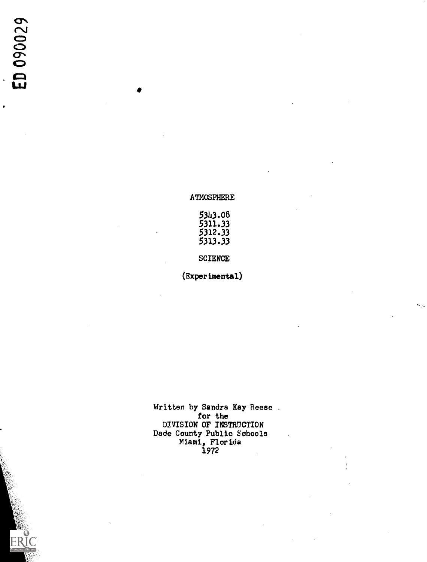ERIC

### ATMOSPHERE

| 5343.08 |  |
|---------|--|
| 5311.33 |  |
| 5312.33 |  |
| 5313.33 |  |

SCIENCE

(Experimental)

Written by Sandra Kay Reese . for the state of  $\mathbf{f}$ DIVISION OF INSTRUCTION Dade County Public Schools Miami, Florida 1972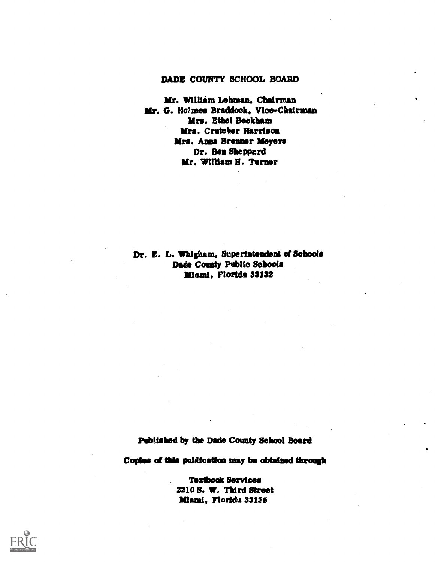# DADE COUNTY SCHOOL BOARD

Mr. William Lehman, Chairman Mr. G. Ho?mes Braddock, Vice-Chairman Mrs. Ethel Beckham Mrs. Crutcber Harrison Mrs. Anna Brenner Meyers Dr. Ben Sheppard Mr. William H. Turner

Dr. Z. L. Whigham, Superintendent of Schools Dade County Public Schools Miami, Florida 33132

Published by the Dade County School Board

Copies of this publication may be obtained through

Teztbook Services 2210 8. W. Third Street Miami, Florida 33135

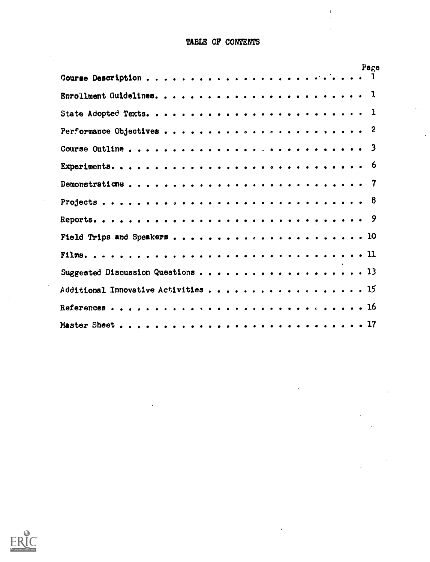# TABLE OF CONTENTS

 $\mathbf{I}$ 

|                                   | Page |
|-----------------------------------|------|
|                                   |      |
|                                   |      |
|                                   |      |
|                                   |      |
|                                   |      |
|                                   |      |
|                                   |      |
|                                   |      |
|                                   |      |
|                                   |      |
|                                   |      |
| Suggested Discussion Questions 13 |      |
|                                   |      |
|                                   |      |
|                                   |      |

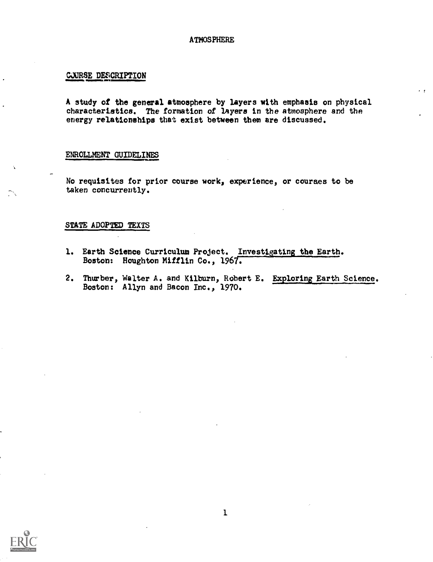### **ATMOSPHERE**

### CJURSE DESCRIPTION

A study of the general atmosphere by layers with emphasis on physical characteristics. The formation of layers in the atmosphere and the energy relationships that exist between them are discussed.

 $\cdot$   $\cdot$ 

### ENROLLMENT GUIDELINES

No requisites for prior course work, experience, or courses to be taken concurrently.

### STATE ADOPTED TEXTS

- 1. Earth Science Curriculum Project. Investigating the Earth. Boston: Houghton Mifflin Co., 1967.
- 2. Thurber, Walter A. and Kilburn, Robert E. Exploring Earth Science. Boston: Allyn and Bacon Inc., 1970.

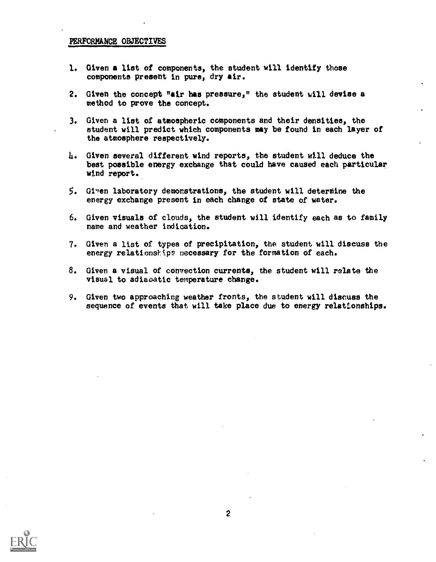### PERFORMANCE OBJECTIVES

- 1. Given a list of components, the student will identify those components present in pure, dry air.
- 2. Given the concept "air has pressure," the student will devise a method to prove the concept.
- 3. Given a list of atmospheric components and their densities, the student will predict which components may be found in each layer of the atmosphere respectively.
- 4. Given several different wind reports, the student will deduce the beat possible energy exchange that could have caused each particular wind report.
- $5.$  Given laboratory demonstrations, the student will determine the energy exchange present in each change of state of water.
- 6. Given visuals of clouds, the student will identify each as to family name and weather indication.
- 7. Given a list of types of precipitation, the student will discuss the energy relationships necessary for the formation of each.
- 8. Given a visual of convection currents, the student will relate the visual to adiaoatic temperature change.
- 9. Given two approaching weather fronts, the student will discuss the sequence of events that will take place due to energy relatfonships.

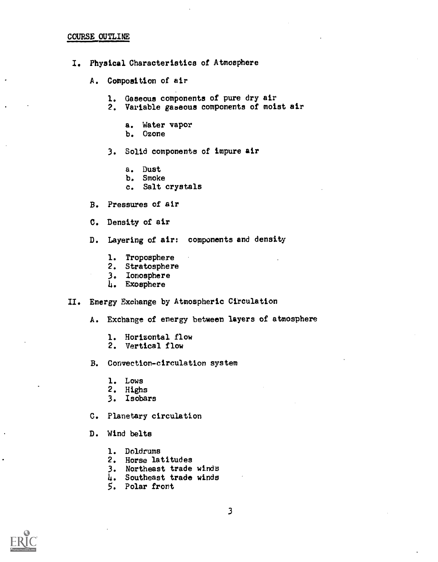### COURSE OUTLINE

- I. Physical Characteristics of Atmosphere
	- A. Composition of air
		- 1. Gaseous components of pure dry air
		- 2. Variable gabeous components of moist air
			- a. Water vapor
			- b. Ozone

3. Solid components of impure air

- a. Dust
- b. Smoke
- c. Salt crystals
- B. Pressures of air
- C. Density of air
- D. Layering of air: components and density
	- 1. Troposphere
	- 2. Stratosphere
	- 3. Ionosphere
	- I. Exosphere

### II. Energy Exchange by Atmospheric Circulation

A. Exchange of energy between layers of atmosphere

- 1. Horizontal flow
- 2. Vertical flow
- B. Convection-circulation system
	- 1. Lows
	- 2. Highs
	- 3. Isobars
- C. Planetary circulation
- D. Wind belts
	- 1. Doldrums
	- 2. Horse latitudes
	- 3. Northeast trade winds
	- 4. Southeast trade winds
	- 5. Polar front

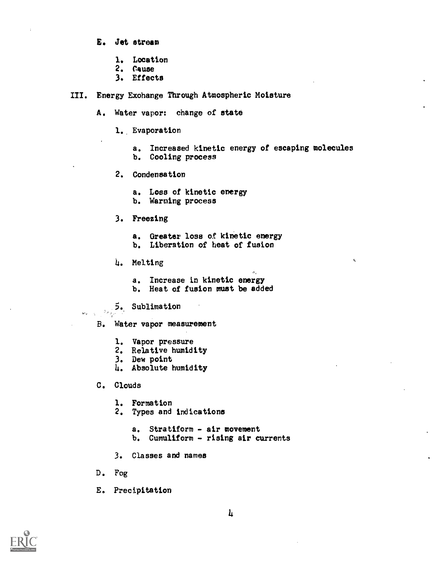- E. Jet stream
	- 1. Location
	- 2. Cause
	- 3. Effects
- III. Energy Exchange Through Atmospheric Moisture
	- A. Water vapor: change of state
		- 1. Evaporation
			- a. Increased kinetic energy of escaping molecules
			- b. Cooling process
		- 2. Condensation
			- a. Loss of kinetic energy
			- b. Warming process
		- 3. Freezing
			- a. Greater loss o.f kinetic energy
			- b. Liberation of heat of fusion
		- 4. Melting
			- a. Increase in kinetic energy
			- b. Heat of fusion must be added
	- 5, Sublimation
	- B. Water vapor measurement
		- 1. Vapor pressure
		- 2. Relative humidity
		- 3. Dew point
		- 4. Absolute humidity
	- C. Clouds

 $\mathbf{w}_k = \frac{1}{2}$ 

- 1. Formation
- 2. Types and indications
	- a. Stratiform air movement
	- b. Cumuliform rising air currents
- 3. Classes and names
- D. Fog
- E. Precipitation

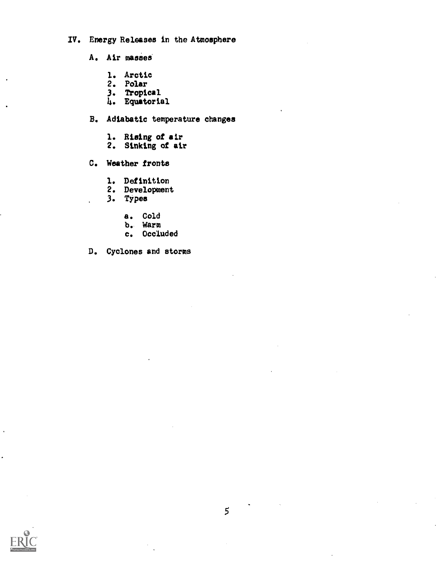# IV. Energy Releases in the Atmosphere

- A. Air masses
	- 1. Arctic
	- 2. Polar
	- 3. Tropical
	- 4. Equatorial
- B. Adiabatic temperature changes
	- 1. Rising of air
	- 2. Sinking of air
- C. Weather fronts
	- 1. Definition
	- 2. Development
	- 3. Types
		- a. Cold
		- b. Warm
		- c. Occluded
- D. Cyclones and storms

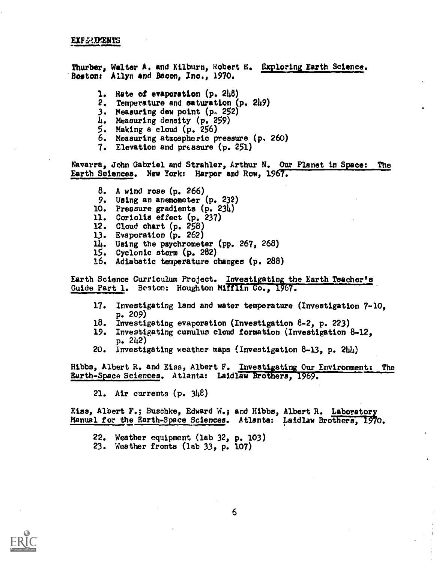### EXP(iJ.IMENTS

Thurber, Walter A. and Kilburn, Robert E. Exploring Earth Science. 'Boston: Allyn and Bacon, Inc., 1970.

- 1. Rate of evaporation  $(p. 248)$
- 2. Temperature and saturation (p. 249)
- 3. Measuring dew point (p. 252)
- 4. Measuring density (p. 259)
- 5. Making a cloud (p. 256)
- 6. Measuring atmospheric pressure (p. 260)
- 7. Elevation and pressure (p. 251)

Navarra, John Gabriel and Strahler, Arthur N. Our Planet in Space: The Earth Sciences. New York: Harper and Row, 1967.

- 8. A wind rose (p. 266)
- 9. Using an anemometer (p. 232)
- 10. Pressure gradients (p. 234)
- 11. Coriolis effect (p. 237)
- 12. Cloud chart (p. 258)
- 13. Evaporation (p. 262)
- lh. Using the psychrometer (pp. 267, 268)
- 15. Cyclonic storm (p. 282)
- 16. Adiabatic temperature changes (p. 288)

Earth Science Curriculum Project. Investigating the Earth Teacher's Guide Part 1. Beston: Houghton Mifflin Co., 1967.

- 17. Investigating land and water temperature (Investigation 7-10, p. 209)
- 18. Investigating evaporation (Investigation 8-2, p. 223)
- 19. Investigating cumulus cloud formation (Investigation 8-12, p. 2142)
- 20. Investigating weather maps (Investigation 8-13, p. 244)

Hibbs, Albert R. and Eiss, Albert F. Investigating Our Environment: The Earth-Space Sciences. Atlanta: Laidlaw Brothers, 1969.

21. Air currents (p. 348)

Etas, Albert F.; Buschke, Edward W.; and Hibbs, Albert R. Laboratory Manual for the Earth-Space Sciences. Atlanta: Latdlaw Brothers, 1970.

- 22. Weather equipment (lab 32, p. 103)
- 23. Weather fronts (lab 33, p. 107)

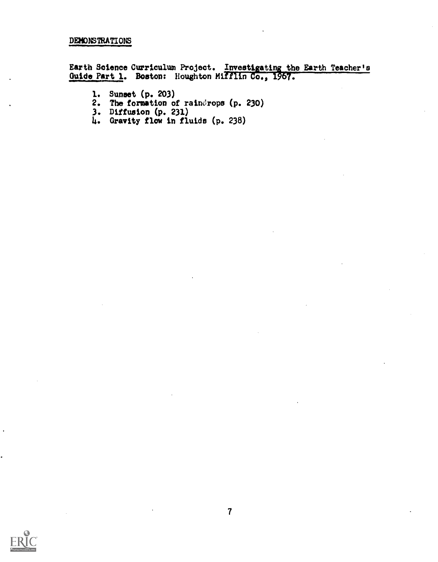### DEMONSTRATIONS

Earth Science Curriculum Project. <u>Investigating the Earth Teacher's</u> Guide Part 1. Boston: Houghton Mifflin-Co., 1967.

- 1. Sunset (p. 203)
- 2. The formation of raindrops (p. 230)
- 3. Diffusion (p. 231)
- 4. Gravity flow in fluids (p. 238)

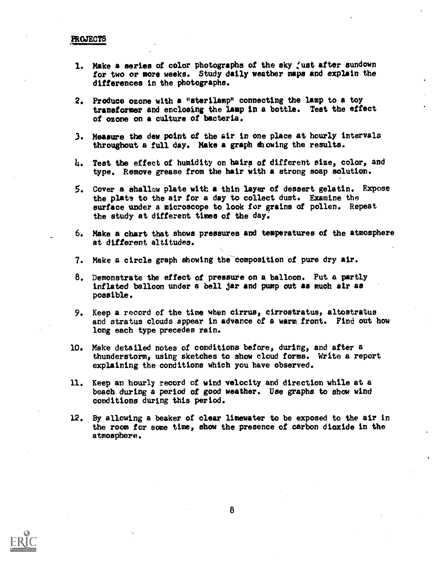### PROJECTS

- 1. Make a series of color photographs of the sky just after sundown for two or more weeks. Study daily weather maps and explain the differences in the photographs.
- 2. Produce ozone with a "sterilamp" connecting the lamp to a toy transformer and enclosing the lamp in a bottle. Teat the effect of ozone on a culture of bacteria.
- 3. Measure the dew point of the sir in one place at hourly intervals throughout a full day. Make a graph showing the results.
- 1j. Teat the effect of humidity on hairs of different size, color, and type. Remove grease from the hair with a strong soap solution.
- 5. Cover a shallow plate with a thin layer of dessert gelatin. Expose the plats to the air for a day to collect dust. Examine the surface under a microscope to look for grains of pollen. Repeat the study at different times of the day,
- 6. Make a chart that shows pressures and temperatures of the atmosphere at different altitudes.
- 7. Make a circle graph showing the-Composition of pure dry air.
- 8. Demonstrate the effect of pressure on a balloon. Put a partly inflated balloon under a bell jar and pump out as much air as possible.
- 9. Keep a record of the time when cirrus, cirrostratus, altostratus and stratus clouds appear in advance of a warm front. Find out how long each type precedes rain.
- 10. Make detailed notes of conditions before, during, and after a thunderstorm, using sketches to show cloud forms. Write a report explaining the conditions which you have observed.
- 11. Keep an hourly record of wind velocity and direction while at a beach during a period of good weather. Use graphs to show wind conditions during this period.
- 12. By allowing a beaker of clear limewater to be exposed to the air in the room for some time, show the presence of carbon dioxide in the atmosphere.



8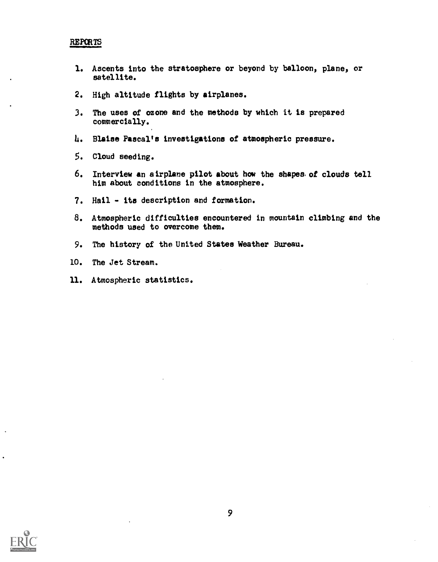## REPORTS

- 1. Ascents into the stratosphere or beyond by balloon, plane, or satellite.
- 2. High altitude flights by airplanes.
- 3. The uses of ozone and the methods by which it is prepared commercially.
- 4. Blaise Pascal's investigations of atmospheric pressure.
- 5. Cloud seeding.
- 6. Interview an airplane pilot about how the shapes, of clouds tell him about conditions in the atmosphere.
- 7. Hail its description and formation.
- B. Atmospheric difficulties encountered in mountain climbing and the methods used to overcome them.
- 9. The history of the United States Weather Bureau.
- 10. The Jet Stream.
- 11. Atmospheric statistics.

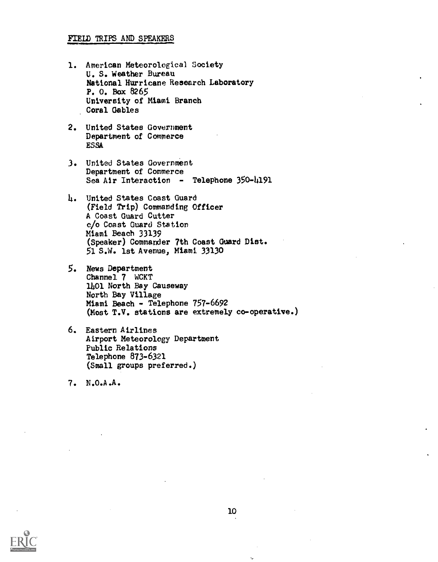### FIELD TRIPS AND SPEAKERS

- 1. American Meteorological Society U. S. Weather Bureau National Hurricane Research Laboratory P. O. Box 8265 University of Miami Branch Coral Gables
- 2. United States Government Department of Commerce ESSA
- 3. United States Government Department of Commerce Sea Air Interaction - Telephone 350-4191
- 1.. United States Coast Guard (Field Trip) Commanding Officer A Coast Guard Cutter c/o Coast Guard Station Miami Beach 33139 (Speaker) Commander 7th Coast Guard Dist. 51 S.W. 1st Avenue, Miami 33130
- 5. News Department Channel 7 WCKT 11401 North Bay Causeway North Bay Village Miami Beach - Telephone 757-6692 (Most T.V. stations are extremely co-operative.)
- 6. Eastern Airlines Airport Meteorology Department Public Relations Telephone 873-6321 (Small groups preferred.)

7. N.O.A.A.



۸ü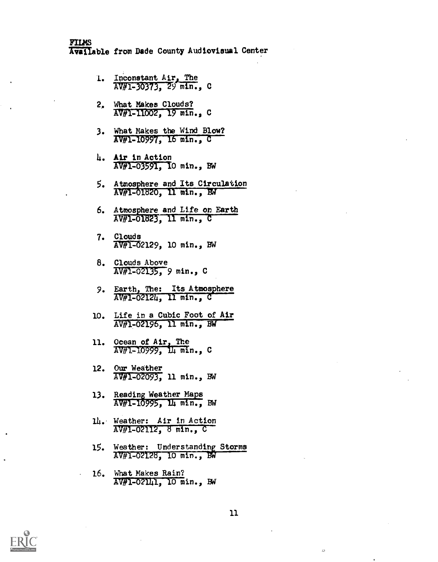- 1. Inconstant Air, The AV#1-30373, C
- 2, What Makes Clouds? AV#1-11002, 19 min., C
- 3. What Makes the Wind Blow? AV#1-10997, 16 min., C
- 14. Air in Action AV#1-03591, 10 min., BW
- 5. Atmosphere and Its Circulation AV#1-01820, 11 min., BA
- 6. Atmosphere and Life on Earth AV#1-01823. 11 min., C
- 7. Clouds Ap#1-02129, 10 min., BW
- 8. Clouds Above AV#1-02135, 9 min., C
- 9. Earth, The: Its Atmosphere AV#1-02124, 11 min., C
- 10. Life in a Cubic Foot of Air AV#1-02196, 1I Min., BW
- 11. Ocean of Air, The  $AV#1-10999$ ,  $\Pi_1$  min., C
- 12. Our Weather AV#1-02093, 11 min., BW
- 13. Reading Weather Maps AV#1-10995, 14 min., BW
- 14. Weather: Air in Action AV#1-02112, 6 min., C
- 15. Weather: Understanding Storms AV#1-02128, 10 min., BW
- 16. What Makes Rain? AV#1-02141, 10 min., BW



 $\ddot{\omega}$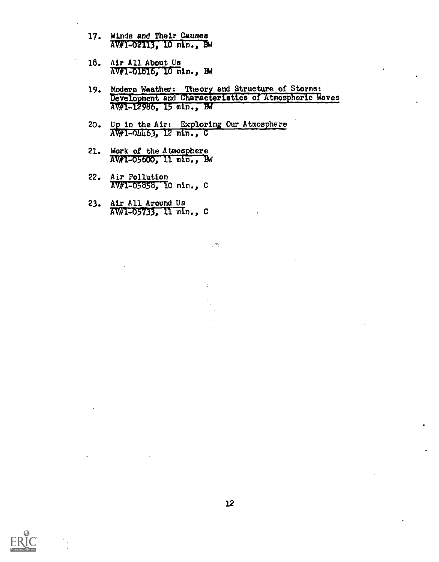- 17. Winds and Their Causes AV#1-02113, 10 min., Bw
- 18. Air All About Us  $NW1$ -01816, 10 min., BW
- 19. Modern Weather: Theory and Structure of Storms: Development and Characteristics of Atmospheric Waves AV#1-12986, 15 min., BW

 $\mathbb{R}^{2n}$ 

- 20. Up in the Air: Exploring Our Atmosphere AD#1-04463, 12 min. C
- 21. Work of the Atmosphere<br>AV#1-05600, 11 min., BW
- 22. Air Pollution AV#1-05656, 10 min., C
- 23. Air All Around Us AV#1-05733, 11 min., C

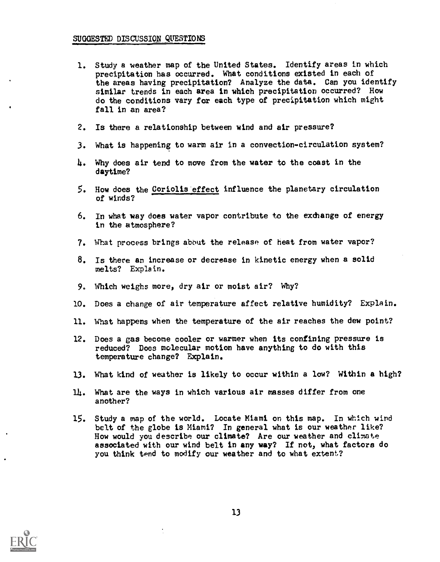- 1. Study a weather map of the United States. Identify areas in which precipitation has occurred. What conditions existed in each of the areas having precipitation? Analyze the data. Can you identify similar trends in each area in which precipitation occurred? How do the conditions vary for each type of precipitation which might fall in an area?
- 2. Is there a relationship between wind and air pressure?
- 3. What is happening to warm air in a convection-circulation system?
- 4. Why does air tend to move from the water to the coast in the daytime?
- 5. How does the Coriolis effect influence the planetary circulation of winds?
- 6. In what way does water vapor contribute to the exchange of energy in the atmosphere?
- 7. What process brings about the release of heat from water vapor?
- 8. Is there an increase or decrease in kinetic energy when a solid melts? Explain.
- 9. Which weighs more, dry air or moist air? Why?

 $\ddot{\cdot}$ 

- 10. Does a change of air temperature affect relative humidity? Explain.
- 11. What happens when the temperature of the air reaches the dew point?
- 12. Does a gas become cooler or warmer when its confining pressure is reduced? Does molecular motion have anything to do with this temperature change? Explain.
- 13. What kind of weather is likely to occur within a low? Within a high?
- $11<sub>1</sub>$ . What are the ways in which various air masses differ from one another?
- 15. Study a map of the world. Locate Miami on this map. In which wind belt of the globe is Miami? In general what is our weather like? How would you describe our climate? Are our weather and climate associated with our wind belt in any way? If not, what factors do you think tend to modify our weather and to what extent?



13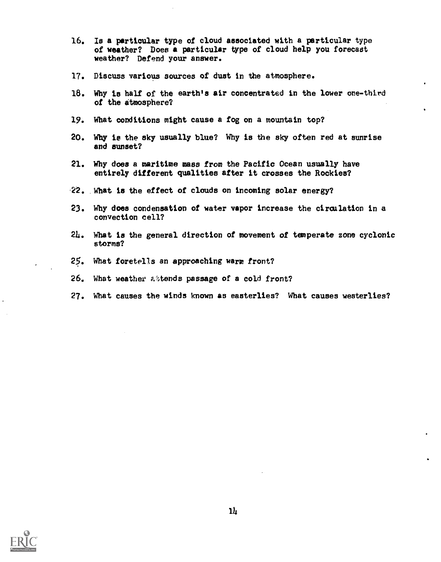- 16. Is a particular type of cloud aasociated with a particular type of weather? Does a particular type of cloud help you forecast weather? Defend your answer.
- 17. Discuss various sources of dust in the atmosphere.
- 18. Why is half of the earth's air concentrated in the lower one-third of the atmosphere?
- 19. What conditions might cause a fog on a mountain top?
- 20. Why ie the sky usually blue? Why is the sky often red at sunrise and sunset?
- 21. Why does a maritime mass from the Pacific Ocean usually have entirely different qualities after it crosses the Rockies?
- 22. What is the effect of clouds on incoming solar energy?
- 23. Why does condensation of water vapor increase the circulation in a convection cell?
- 214. What is the general direction of movement of temperate zone cyclonic storms?
- 25. What foretells an approaching warm front?
- 26. What weather attends passage of a cold front?
- 27. What causes the winds known as easterlies? What causes westerlies?

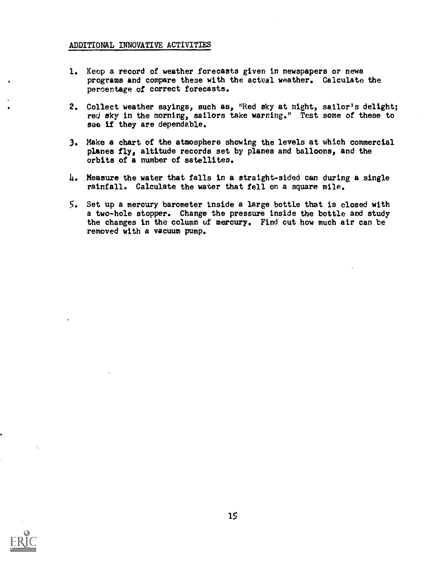### ADDITIONAL INNOVATIVE ACTIVITIES

- 1. Keep a record of weather forecasts given in newspapers or news programs and compare these with the actual weather. Calculate the percentage of correct forecasts.
- 2. Collect weather sayings, such as, "Red sky at night, sailor's delight; red aky in the morning, sailors take warning." Test some of these to see if they are dependable.
- 3. Make a chart of the atmosphere showing the levels at which commercial planes fly, altitude records set by planes and balloons, and the orbits of a number of satellites.
- 4. Measure the water that falls in a straight-sided can during a single rainfall. Calculate the water that fell on a square mile.
- 5. Set up a mercury barometer Inside a large bottle that is closed with a two-hole stopper. Change the pressure inside the bottle and study the changes in the column uf mercury. Find cut how much air can be removed with a vacuum pump.

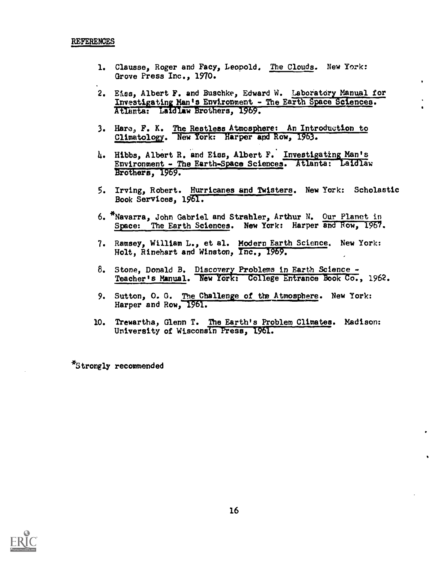- 1. Clausse, Roger and Facy, Leopold. The Clouds. New York: Grove Press Inc., 1970.
- 2. E&ss, Albert F. and Buschke, Edward W. Laboratory Manual for Investigating Man's Environment - The Earth Space Sciences. Atlanta: Laidlaw Brothers, 1969.
- 3. Hare., F. K. The Restless Atmosphere: An Introduction to Climatology. New fork: Harper apd Row, 1963.
- 4. Hibbs, Albert R. and Eiss, Albert F. Investigating Man's Environment - The Earth-Space Sciences. Atlanta: Laidlaw Brothers, 1969.
- 5. Irving, Robert. Hurricanes and Twisters. New York: Scholastic Book Services, 1961.
- 6. \*Navarra, John Gabriel and Strahler, Arthur N. Our Planet in Space: The Earth Sciences. New York: Harper and Row, 1967.
- 7. Ramsey, William L., et al. Modern Earth Science. New York: Holt, Rinehart and Winston, Inc., 1969.
- 8. Stone, Donald B. Discovery Problems in Earth Science Teacher's Manual. New York: College Entrance Book Co., 1962.
- 9. Sutton, 0. G. The Challenge of the Atmosphere. New York: Harper and Row, 1961.
- 10. Trewartha, Glenn T. The Earth's Problem Climates. Madison: University of Wisconsin Press, 1961.

\*Strongly recommended